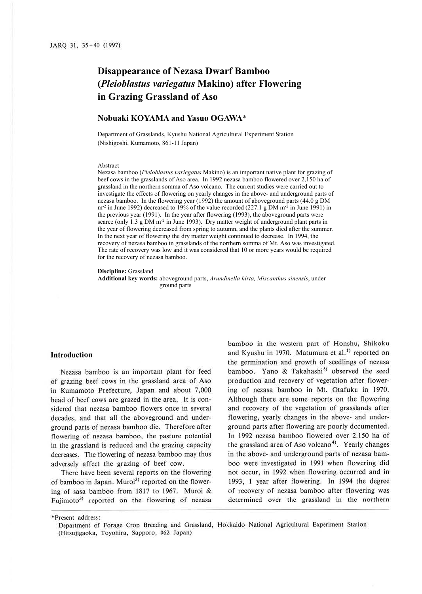# **Disappearance of Nezasa Dwarf Bamboo (***Pleioblastus variegatus* **Makino) after Flowering in Grazing Grassland of Aso**

# **Nobuaki KOYAMA and Yasuo OGAWA**\*

Department of Grasslands, Kyushu National Agricultural Experiment Station (Nishigoshi, Kumamoto, 861-11 Japan)

#### Abstract

Nezasa bamboo (*Pleioblastus variegatus* Makino) is an important native plant for grazing of beef cows in the grasslands of Aso area. In 1992 nezasa bamboo flowered over 2,150 ha of grassland in the northern somma of Aso volcano. The current studies were carried out to investigate the effects of flowering on yearly changes in the above- and underground parts of nezasa bamboo. In the flowering year (1992) the amount of aboveground parts (44.0 g DM  $m<sup>2</sup>$  in June 1992) decreased to 19% of the value recorded (227.1 g DM  $m<sup>2</sup>$  in June 1991) in the previous year (1991). In the year after flowering (1993), the aboveground parts were scarce (only  $1.3 \text{ g}$  DM m<sup>-2</sup> in June 1993). Dry matter weight of underground plant parts in the year of flowering decreased from spring to autumn, and the plants died after the summer. In the next year of flowering the dry matter weight continued to decrease. In 1994, the recovery of nezasa bamboo in grasslands of the northern somma of Mt. Aso was investigated. The rate of recovery was low and it was considered that 10 or more years would be required for the recovery of nezasa bamboo.

**Discipline:** Grassland

**Additional key words:** aboveground parts, *Arundinella hirta, Miscanthus sinensis*, under ground parts

## **Introduction**

Nezasa bamboo is an important plant for feed of grazing beef cows in the grassland area of Aso in Kumamoto Prefecture, Japan and about 7,000 head of beef cows are grazed in the area. It is considered that nezasa bamboo flowers once in several decades, and that all the aboveground and underground parts of nezasa bamboo die. Therefore after flowering of nezasa bamboo, the pasture potential in the grassland is reduced and the grazing capacity decreases. The flowering of nezasa bamboo may thus adversely affect the grazing of beef cow.

There have been several reports on the flowering of bamboo in Japan. Muroi<sup>2)</sup> reported on the flowering of sasa bamboo from 1817 to 1967. Muroi & Fujimoto<sup>3)</sup> reported on the flowering of nezasa bamboo in the western part of Honshu, Shikoku and Kyushu in 1970. Matumura et al.<sup>1)</sup> reported on the germination and growth of seedlings of nezasa bamboo. Yano & Takahashi<sup>5)</sup> observed the seed production and recovery of vegetation after flowering of nezasa bamboo in Mt. Otafuku in 1970. Although there are some reports on the flowering and recovery of the vegetation of grasslands after flowering, yearly changes in the above- and underground parts after flowering are poorly documented. In 1992 nezasa bamboo flowered over 2,150 ha of the grassland area of Aso volcano<sup>4</sup>). Yearly changes in the above- and underground parts of nezasa bamboo were investigated in 1991 when flowering did not occur, in 1992 when flowering occurred and in 1993, I year after flowering. In 1994 the degree of recovery of nezasa bamboo after flowering was determined over the grassland in the northern

<sup>\*</sup>Present address:

Department of Forage Crop Breeding and Grassland, Hokkaido National Agricultural Experiment Station (Hitsujigaoka, Toyohira, Sapporo, 062 Japan)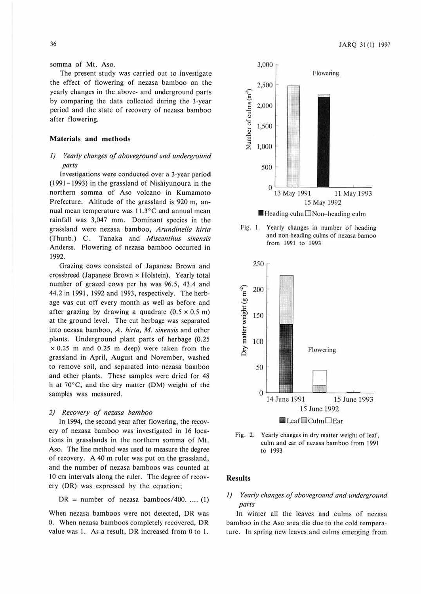somma of Mt. Aso.

The present study was carried out to investigate the effect of flowering of nezasa bamboo on the yearly changes in the above- and underground parts by comparing the data collected during the 3-year period and the state of recovery of nezasa bamboo after flowering.

## **Materials and methods**

# *I) Yearly changes of aboveground and underground parts*

Investigations were conducted over a 3-year period (1991-1993) in the grassland of Nishiyunoura in the northern somma of Aso volcano in Kumamoto Prefecture. Altitude of the grassland is 920 m, annual mean temperature was  $11.3^{\circ}$ C and annual mean rainfall was 3,047 mm. Dominant species in the grassland were nezasa bamboo, *Arundinella hirta*  (Thunb.) C. Tanaka and *Miscanthus sinensis*  Anderss. Flowering of nezasa bamboo occurred in 1992.

Grazing cows consisted of Japanese Brown and crossbreed (Japanese Brown x Holstein). Yearly total number of grazed cows per ha was 96.5, 43.4 and 44.2 in 1991, 1992 and 1993, respectively. The herbage was cut off every month as well as before and after grazing by drawing a quadrate  $(0.5 \times 0.5 \text{ m})$ at the ground level. The cut herbage was separated into nezasa bamboo, *A. hirta,* **M.** *sinensis* and other plants. Underground plant parts of herbage (0.25  $\times$  0.25 m and 0.25 m deep) were taken from the grassland in April, August and November, washed to remove soil, and separated into nezasa bamboo and other plants. These samples were dried for 48 h at 70°C, and the dry matter (DM) weight of the samples was measured.

#### *2) Recovery of nezasa bamboo*

In 1994, the second year after flowering, the recovery of nczasa bamboo was investigated in 16 locations in grasslands in the northern somma of Mt. Aso. The line method was used to measure the degree of recovery. A 40 m ruler was put on the grassland, and the number of nezasa bamboos was counted at 10 cm intervals along the ruler. The degree of recovery (DR) was expressed by the equation ;

$$
DR = number of \tnezasa \t{bamboos/400, \ldots (1)}
$$

When nezasa bamboos were not detected, DR was O. When nezasa bamboos completely recovered, DR value was 1. As a result, DR increased from 0 to 1.



Fig. 1. Yearly changes in number of heading and non-heading culms of nezasa bamoo from 1991 to 1993





## **Results**

# *I) Yearly changes of aboveground and underground parts*

In winter all the leaves and culms of nczasa bamboo in the Aso area die due to the cold temperature. In spring new leaves and culms emerging from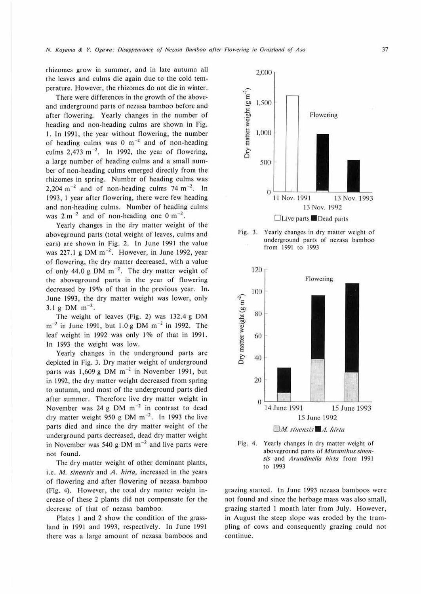rhizomes grow in summer, and in late autumn all the leaves and culms die again due to the cold temperature. However, the rhizomes do not die in winter.

There were differences in the growth of the aboveand underground parts of nezasa bamboo before and after flowering. Yearly changes in the number of heading and non-heading culms are shown in Fig. I. In 1991, the year without flowering, the number of heading culms was 0  $m^{-2}$  and of non-heading culms  $2,473$  m<sup>-2</sup>. In 1992, the year of flowering, a large number of heading culms and a small number of non-heading culms emerged directly from the rhizomes in spring. Number of heading culms was 2,204 m<sup>-2</sup> and of non-heading culms  $74 \text{ m}^{-2}$ . In 1993, I year after flowering, there were few heading and non-heading culms. Number of heading culms was  $2 \text{ m}^{-2}$  and of non-heading one  $0 \text{ m}^{-2}$ .

Yearly changes in the dry matter weight of the aboveground parts (total weight of leaves, culms and ears) arc shown in Fig. 2. ln June 1991 the value was 227.1 g DM  $m^{-2}$ . However, in June 1992, year of flowering, the dry matter decreased, with a value of only 44.0 g DM  $m^{-2}$ . The dry matter weight of the aboveground parts in ihe year of flowering decreased by 19% of that in the previous year. In. June 1993, the dry matter weight was lower, only  $3.1 \text{ g} \text{ DM} \text{ m}^{-2}$ .

The weight of leaves (Fig. 2) was 132.4 g DM  $m^{-2}$  in June 1991, but 1.0 g DM  $m^{-2}$  in 1992. The leaf weight in 1992 was only 1% of that in 1991. In 1993 the weight was low.

Yearly changes in the underground parts are depicted in Fig. 3. Dry matter weight of underground parts was 1,609 g DM  $m^{-2}$  in November 1991, but in 1992, the dry matter weight decreased from spring <sup>10</sup>autumn, and most of the underground parts died after summer. Therefore live dry matter weight in November was  $24 g$  DM  $m^{-2}$  in contrast to dead dry matter weight 950 g DM  $m^{-2}$ . In 1993 the live parts died and since the dry matter weight of the underground parts decreased, dead dry matter weight in November was 540 g DM  $\text{m}^{-2}$  and live parts were not found.

The dry matter weight of other dominant plants, i.e. *M. sinensis* and *A. hirta*, increased in the years of flowering and after flowering of nezasa bamboo (Fig. 4). However, the total dry matter weight increase of these 2 plants did not compensate for the decrease of that of nezasa bamboo.

Plates I and 2 show the condition of the grassland in 1991 and 1993, respectively. In June 1991 there was a large amount of nezasa bamboos and



Fig. 3. Yearly changes in dry matter weight of underground parts of nezasa bamboo from 1991 10 1993





grazing started. In June 1993 nezasa bamboos were not found and since the herbage mass was also small, grazing started I month later from July. However, in August the steep slope was eroded by the trampling of cows and consequently grazing could not continue.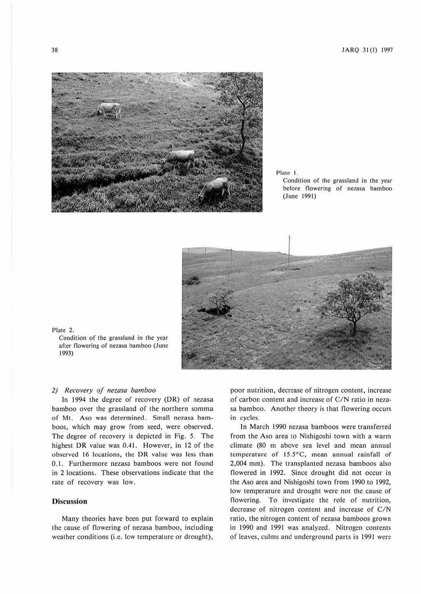

Plate I. Condition of the grassland in the year before flowering of nezasa bamboo (June 1991)



#### Plate 2.

Condition of the grassland in the year after flowering of nezasa bamboo (June 1993)

#### *2) Recovery of nezasa bamboo*

In 1994 the degree of recovery (DR) of nezasa bamboo over the grassland of the northern somma of Mt.. Aso was determined. Small nezasa bamboos, which may grow from seed, were observed. The degree of recovery is depicted in Fig. *5.* The highest DR value was 0.41. However, in 12 of the observed 16 locations. the DR value was less than 0.1. Furthermore nezasa bamboos were not found in 2 locations. These observations indicate that the rate of recovery was low.

## **Discussion**

Many theories have been put forward to explain the cause of flowering of nezasa bamboo, including weather conditions (i.e. low temperature or drought),

poor nutrition, decrease of nitrogen content, increase of carbon content and increase of C/N ratio in nezasa bamboo. Another theory is that flowering occurs in cycles.

In March 1990 nezasa bamboos were transferred from the Aso area to Nishigoshi town with a warm climate (80 m above sea level and mean annual temperature of 15.5°C, mean annual rainfall of 2,004 mm). The transplamed nezasa bamboos also flowered in 1992. Since drought did not occur in the Aso area and Nishigoshi town from 1990 to 1992, low temperature and drought were not the cause of flowering. To investigate the role of nutrition, decrease of nitrogen content and increase of C/N ratio, the nitrogen content of nezasa bamboos grown in 1990 and 1991 was analyzed. Nitrogen contents of leaves, culms and underground parts in 1991 were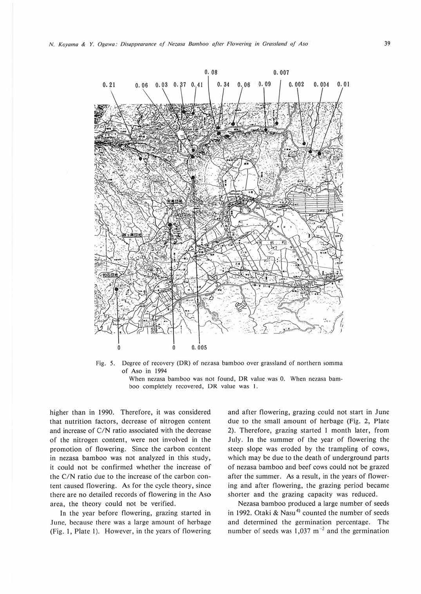

Fig. 5. Degree of recovery (DR) of nezasa bamboo over grassland of northern somma of Aso in 1994

When nezasa bamboo was not found, DR value was 0. When nezasa bamboo completely recovered, DR value was 1.

higher than in 1990. Therefore, it was considered that nutrition factors, decrease of nitrogen content and increase of C/N ratio associated with the decrease of the nitrogen content, were not involved in the promotion of flowering. Since the carbon content. in nezasa bamboo was not analyzed in this study. it could not be confirmed whether the increase of the C/N ratio due to the increase of the carbon content caused flowering. As for the cycle theory, since there are no detailed records of flowering in the Aso area, the theory could not be verified.

In the year before flowering, grazing started in June, because there was a large amount of herbage (Fig. I, Plate I). However, in the years of flowering

and after flowering, grazing could not start in June due to the small amount of herbage (Fig. 2, Plate 2). Therefore, grazing started I month later, from July. ln the summer of the year of flowering the steep slope was eroded by the trampling of cows, which may be due to the death of underground parts of nezasa bamboo and beef cows could not be grazed after the summer. As a result, in the years of flowering and after flowering, 1he grazing period became shorter and the grazing capacity was reduced.

Nezasa bamboo produced a large number of seeds in 1992. Otaki & Nasu<sup>4)</sup> counted the number of seeds and determined the germination percentage. The number of seeds was  $1,037 \text{ m}^{-2}$  and the germination